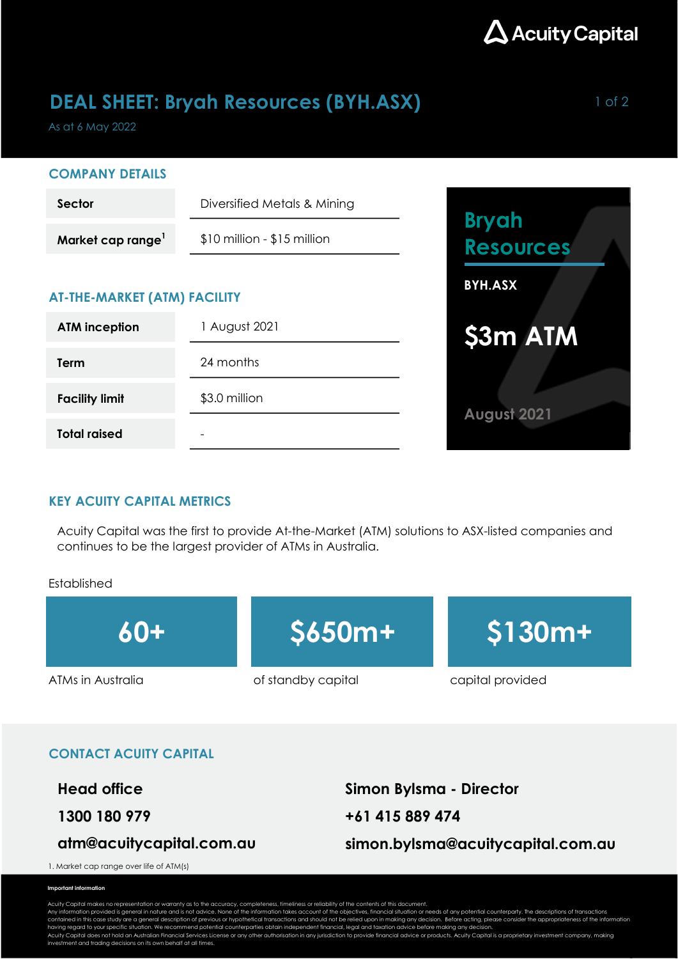

## **DEAL SHEET: Bryah Resources (BYH.ASX)** 1 of 2

As at 6 May 2022

#### COMPANY DETAILS

| Sector                              | Diversified Metals & Mining   |                                  |
|-------------------------------------|-------------------------------|----------------------------------|
| Market cap range <sup>1</sup>       | $$10$ million - $$15$ million | <b>Bryah</b><br><b>Resources</b> |
| <b>AT-THE-MARKET (ATM) FACILITY</b> |                               | <b>BYH.ASX</b>                   |
| <b>ATM inception</b>                | August 2021                   | \$3m ATM                         |
| Term                                | 24 months                     |                                  |
| <b>Facility limit</b>               | \$3.0 million                 | August 2021                      |
| <b>Total raised</b>                 | $\overline{\phantom{0}}$      |                                  |

#### KEY ACUITY CAPITAL METRICS

Acuity Capital was the first to provide At-the-Market (ATM) solutions to ASX-listed companies and continues to be the largest provider of ATMs in Australia.

#### Established



#### CONTACT ACUITY CAPITAL

Head office Simon Bylsma - Director

### atm@acuitycapital.com.au

1300 180 979 +61 415 889 474 simon.bylsma@acuitycapital.com.au

1. Market cap range over life of ATM(s)

#### Important information

Acuity Capital makes no representation or warranty as to the accuracy, completeness, timeliness or reliability of the contents of this document.<br>Any information provided is general in nature and is not advice. None of the contained in this case study are a general description of previous or hypothetical transactions and should not be relied upon in making any decision. Before acting, please consider the appropriateness of the information<br>ha

Acuity Capital does not hold an Australian Financial Services License or any other authorisation in any jurisdiction to provide financial advice or products. Acuity Capital is a proprietary investment company, making<br>inves